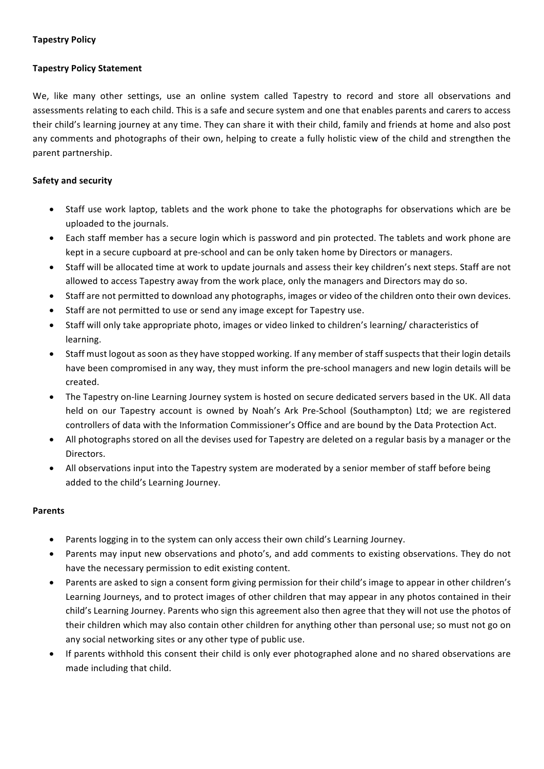## **Tapestry Policy**

# **Tapestry Policy Statement**

We, like many other settings, use an online system called Tapestry to record and store all observations and assessments relating to each child. This is a safe and secure system and one that enables parents and carers to access their child's learning journey at any time. They can share it with their child, family and friends at home and also post any comments and photographs of their own, helping to create a fully holistic view of the child and strengthen the parent partnership.

# **Safety and security**

- Staff use work laptop, tablets and the work phone to take the photographs for observations which are be uploaded to the journals.
- Each staff member has a secure login which is password and pin protected. The tablets and work phone are kept in a secure cupboard at pre-school and can be only taken home by Directors or managers.
- Staff will be allocated time at work to update journals and assess their key children's next steps. Staff are not allowed to access Tapestry away from the work place, only the managers and Directors may do so.
- Staff are not permitted to download any photographs, images or video of the children onto their own devices.
- Staff are not permitted to use or send any image except for Tapestry use.
- Staff will only take appropriate photo, images or video linked to children's learning/ characteristics of learning.
- Staff must logout as soon as they have stopped working. If any member of staff suspects that their login details have been compromised in any way, they must inform the pre-school managers and new login details will be created.
- The Tapestry on-line Learning Journey system is hosted on secure dedicated servers based in the UK. All data held on our Tapestry account is owned by Noah's Ark Pre-School (Southampton) Ltd; we are registered controllers of data with the Information Commissioner's Office and are bound by the Data Protection Act.
- All photographs stored on all the devises used for Tapestry are deleted on a regular basis by a manager or the Directors.
- All observations input into the Tapestry system are moderated by a senior member of staff before being added to the child's Learning Journey.

# **Parents**

- Parents logging in to the system can only access their own child's Learning Journey.
- Parents may input new observations and photo's, and add comments to existing observations. They do not have the necessary permission to edit existing content.
- Parents are asked to sign a consent form giving permission for their child's image to appear in other children's Learning Journeys, and to protect images of other children that may appear in any photos contained in their child's Learning Journey. Parents who sign this agreement also then agree that they will not use the photos of their children which may also contain other children for anything other than personal use; so must not go on any social networking sites or any other type of public use.
- If parents withhold this consent their child is only ever photographed alone and no shared observations are made including that child.